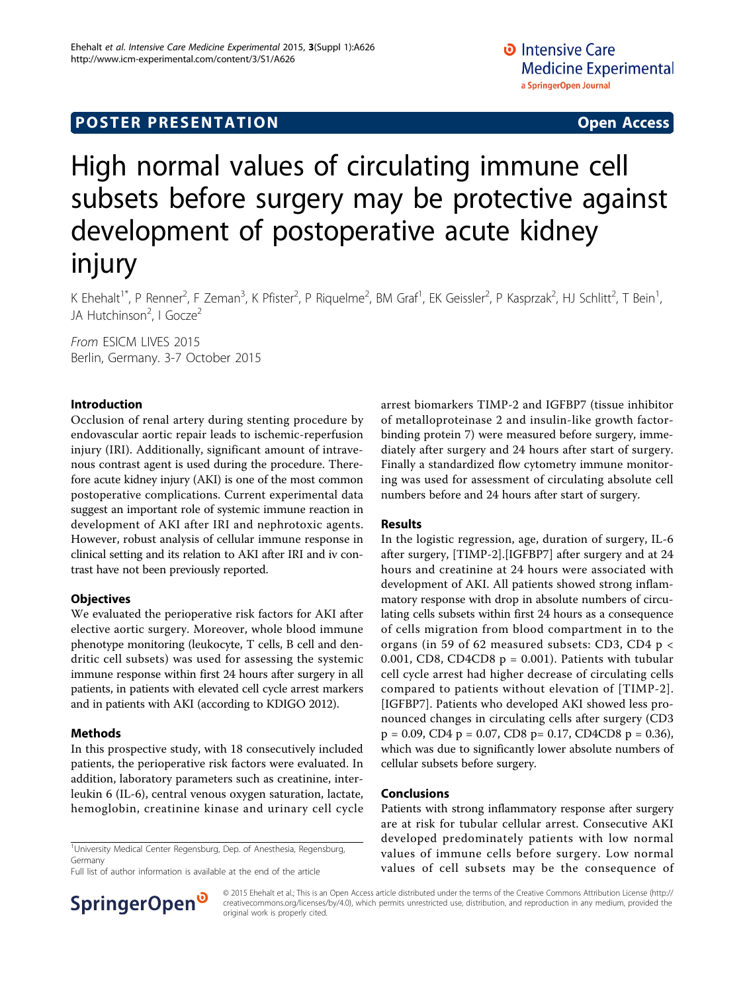## **POSTER PRESENTATION CONSUMING ACCESS**

# High normal values of circulating immune cell subsets before surgery may be protective against development of postoperative acute kidney injury

K Ehehalt<sup>1\*</sup>, P Renner<sup>2</sup>, F Zeman<sup>3</sup>, K Pfister<sup>2</sup>, P Riquelme<sup>2</sup>, BM Graf<sup>1</sup>, EK Geissler<sup>2</sup>, P Kasprzak<sup>2</sup>, HJ Schlitt<sup>2</sup>, T Bein<sup>1</sup> , JA Hutchinson<sup>2</sup>, I Gocze<sup>2</sup>

From ESICM LIVES 2015 Berlin, Germany. 3-7 October 2015

#### Introduction

Occlusion of renal artery during stenting procedure by endovascular aortic repair leads to ischemic-reperfusion injury (IRI). Additionally, significant amount of intravenous contrast agent is used during the procedure. Therefore acute kidney injury (AKI) is one of the most common postoperative complications. Current experimental data suggest an important role of systemic immune reaction in development of AKI after IRI and nephrotoxic agents. However, robust analysis of cellular immune response in clinical setting and its relation to AKI after IRI and iv contrast have not been previously reported.

#### **Objectives**

We evaluated the perioperative risk factors for AKI after elective aortic surgery. Moreover, whole blood immune phenotype monitoring (leukocyte, T cells, B cell and dendritic cell subsets) was used for assessing the systemic immune response within first 24 hours after surgery in all patients, in patients with elevated cell cycle arrest markers and in patients with AKI (according to KDIGO 2012).

#### Methods

In this prospective study, with 18 consecutively included patients, the perioperative risk factors were evaluated. In addition, laboratory parameters such as creatinine, interleukin 6 (IL-6), central venous oxygen saturation, lactate, hemoglobin, creatinine kinase and urinary cell cycle

<sup>1</sup>University Medical Center Regensburg, Dep. of Anesthesia, Regensburg, Germany

Full list of author information is available at the end of the article



#### Results

In the logistic regression, age, duration of surgery, IL-6 after surgery, [TIMP-2].[IGFBP7] after surgery and at 24 hours and creatinine at 24 hours were associated with development of AKI. All patients showed strong inflammatory response with drop in absolute numbers of circulating cells subsets within first 24 hours as a consequence of cells migration from blood compartment in to the organs (in 59 of 62 measured subsets: CD3, CD4 p < 0.001, CD8, CD4CD8  $p = 0.001$ ). Patients with tubular cell cycle arrest had higher decrease of circulating cells compared to patients without elevation of [TIMP-2]. [IGFBP7]. Patients who developed AKI showed less pronounced changes in circulating cells after surgery (CD3  $p = 0.09$ , CD4  $p = 0.07$ , CD8  $p = 0.17$ , CD4CD8  $p = 0.36$ ), which was due to significantly lower absolute numbers of cellular subsets before surgery.

#### Conclusions

Patients with strong inflammatory response after surgery are at risk for tubular cellular arrest. Consecutive AKI developed predominately patients with low normal values of immune cells before surgery. Low normal values of cell subsets may be the consequence of



© 2015 Ehehalt et al.; This is an Open Access article distributed under the terms of the Creative Commons Attribution License [\(http://](http://creativecommons.org/licenses/by/4.0) [creativecommons.org/licenses/by/4.0](http://creativecommons.org/licenses/by/4.0)), which permits unrestricted use, distribution, and reproduction in any medium, provided the original work is properly cited.